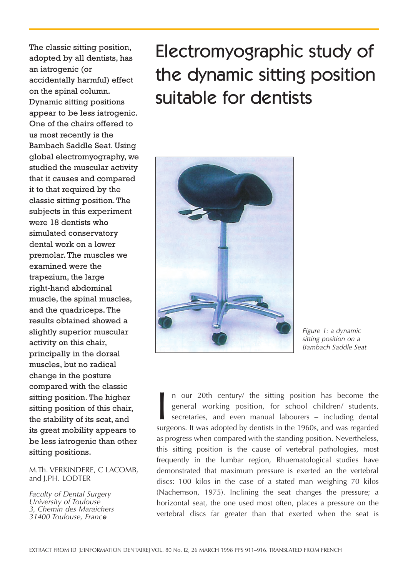The classic sitting position, adopted by all dentists, has an iatrogenic (or accidentally harmful) effect on the spinal column. Dynamic sitting positions appear to be less iatrogenic. One of the chairs offered to us most recently is the Bambach Saddle Seat. Using global electromyography, we studied the muscular activity that it causes and compared it to that required by the classic sitting position. The subjects in this experiment were 18 dentists who simulated conservatory dental work on a lower premolar. The muscles we examined were the trapezium, the large right-hand abdominal muscle, the spinal muscles, and the quadriceps. The results obtained showed a slightly superior muscular activity on this chair, principally in the dorsal muscles, but no radical change in the posture compared with the classic sitting position. The higher sitting position of this chair, the stability of its scat, and its great mobility appears to be less iatrogenic than other sitting positions.

#### M.Th. VERKINDERE, C LACOMB, and J.PH. LODTER

*Faculty of Dental Surgery University of Toulouse 3, Chemin des Maraichers 31400 Toulouse, France*

# Electromyographic study of the dynamic sitting position suitable for dentists



*Figure 1: a dynamic sitting position on a Bambach Saddle Seat*

In our 20th century/ the sitting position has become the general working position, for school children/ students, secretaries, and even manual labourers – including dental surgeons. It was adopted by dentists in the 1960s, n our 20th century/ the sitting position has become the general working position, for school children/ students, secretaries, and even manual labourers – including dental as progress when compared with the standing position. Nevertheless, this sitting position is the cause of vertebral pathologies, most frequently in the lumbar region, Rhuematological studies have demonstrated that maximum pressure is exerted an the vertebral discs: 100 kilos in the case of a stated man weighing 70 kilos (Nachemson, 1975). Inclining the seat changes the pressure; a horizontal seat, the one used most often, places a pressure on the vertebral discs far greater than that exerted when the seat is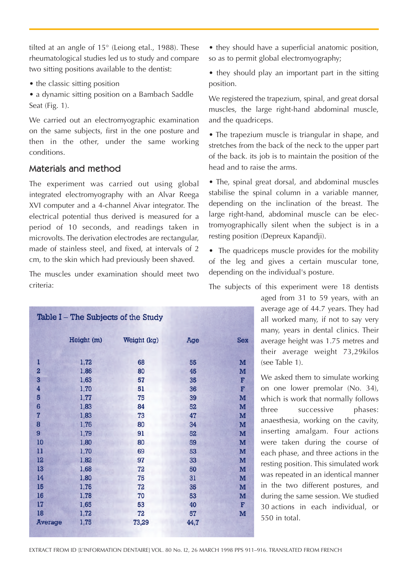tilted at an angle of 15° (Leiong etal., 1988). These rheumatological studies led us to study and compare two sitting positions available to the dentist:

- the classic sitting position
- a dynamic sitting position on a Bambach Saddle Seat (Fig. 1).

We carried out an electromyographic examination on the same subjects, first in the one posture and then in the other, under the same working conditions.

## Materials and method

The experiment was carried out using global integrated electromyography with an Alvar Reega XVI computer and a 4-channel Aivar integrator. The electrical potential thus derived is measured for a period of 10 seconds, and readings taken in microvolts. The derivation electrodes are rectangular, made of stainless steel, and fixed, at intervals of 2 cm, to the skin which had previously been shaved.

The muscles under examination should meet two criteria:

| Table I - The Subjects of the Study |              |             |          |              |  |  |
|-------------------------------------|--------------|-------------|----------|--------------|--|--|
|                                     | Height (m)   | Weight (kg) | Age      | <b>Sex</b>   |  |  |
| ı                                   | 1,72         | 68          | 55       | M            |  |  |
| $\overline{a}$<br>3                 | 1,86<br>1,63 | 80<br>57    | 45<br>35 | M<br>F       |  |  |
| $\overline{\mathbf{4}}$             | 1,70         | 51          | 36       | F            |  |  |
| 5<br>$6\phantom{1}$                 | 1,77<br>1,83 | 75<br>84    | 39<br>52 | M<br>M       |  |  |
| $\overline{7}$                      | 1,83         | 73          | 47       | M            |  |  |
| 8                                   | 1,76         | 80          | 34       | M            |  |  |
| 9<br>10                             | 1,79<br>1,80 | 91<br>80    | 52<br>59 | M<br>M       |  |  |
| 11                                  | 1,70         | 69          | 53       | M            |  |  |
| 12<br>13                            | 1,82<br>1,68 | 97<br>72    | 33<br>50 | M<br>M       |  |  |
| 14                                  | 1,80         | 75          | 31       | M            |  |  |
| 15<br>16                            | 1,76<br>1,78 | 72<br>70    | 35<br>53 | M<br>M       |  |  |
| 17                                  | 1,65         | 53          | 40       | $\mathbf{F}$ |  |  |
| 18                                  | 1,72         | 72          | 57       | M            |  |  |
| <b>Average</b>                      | 1,75         | 73,29       | 44,7     |              |  |  |

• they should have a superficial anatomic position, so as to permit global electromyography;

• they should play an important part in the sitting position.

We registered the trapezium, spinal, and great dorsal muscles, the large right-hand abdominal muscle, and the quadriceps.

• The trapezium muscle is triangular in shape, and stretches from the back of the neck to the upper part of the back. its job is to maintain the position of the head and to raise the arms.

• The, spinal great dorsal, and abdominal muscles stabilise the spinal column in a variable manner, depending on the inclination of the breast. The large right-hand, abdominal muscle can be electromyographically silent when the subject is in a resting position (Depreux Kapandji).

• The quadriceps muscle provides for the mobility of the leg and gives a certain muscular tone, depending on the individual's posture.

The subjects of this experiment were 18 dentists

aged from 31 to 59 years, with an average age of 44.7 years. They had all worked many, if not to say very many, years in dental clinics. Their average height was 1.75 metres and their average weight 73,29kilos (see Table 1).

We asked them to simulate working on one lower premolar (No. 34), which is work that normally follows three successive phases: anaesthesia, working on the cavity, inserting amalgam. Four actions were taken during the course of each phase, and three actions in the resting position. This simulated work was repeated in an identical manner in the two different postures, and during the same session. We studied 30 actions in each individual, or 550 in total.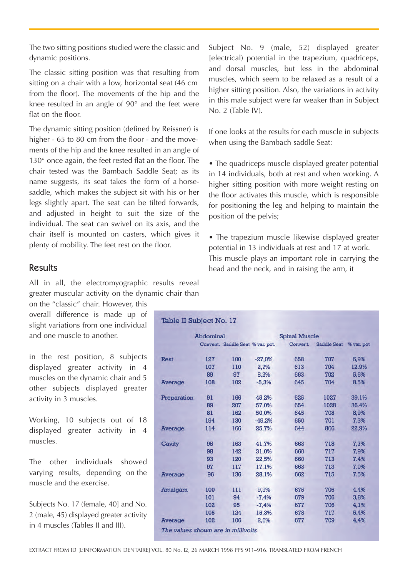The two sitting positions studied were the classic and dynamic positions.

The classic sitting position was that resulting from sitting on a chair with a low, horizontal seat (46 cm from the floor). The movements of the hip and the knee resulted in an angle of 90° and the feet were flat on the floor.

The dynamic sitting position (defined by Reissner) is higher - 65 to 80 cm from the floor - and the movements of the hip and the knee resulted in an angle of 130° once again, the feet rested flat an the floor. The chair tested was the Bambach Saddle Seat; as its name suggests, its seat takes the form of a horsesaddle, which makes the subject sit with his or her legs slightly apart. The seat can be tilted forwards, and adjusted in height to suit the size of the individual. The seat can swivel on its axis, and the chair itself is mounted on casters, which gives it plenty of mobility. The feet rest on the floor.

Results

All in all, the electromyographic results reveal greater muscular activity on the dynamic chair than

on the "classic" chair. However, this overall difference is made up of slight variations from one individual and one muscle to another.

in the rest position, 8 subjects displayed greater activity in 4 muscles on the dynamic chair and 5 other subjects displayed greater activity in 3 muscles.

Working, 10 subjects out of 18 displayed greater activity in 4 muscles.

The other individuals showed varying results, depending on the muscle and the exercise.

Subjects No. 17 (female, 40] and No. 2 (male, 45) displayed greater activity in 4 muscles (Tables II and III).

Subject No. 9 (male, 52) displayed greater [electrical) potential in the trapezium, quadriceps, and dorsal muscles, but less in the abdominal muscles, which seem to be relaxed as a result of a higher sitting position. Also, the variations in activity in this male subject were far weaker than in Subject No. 2 (Table IV).

If one looks at the results for each muscle in subjects when using the Bambach saddle Seat:

• The quadriceps muscle displayed greater potential in 14 individuals, both at rest and when working. A higher sitting position with more weight resting on the floor activates this muscle, which is responsible for positioning the leg and helping to maintain the position of the pelvis;

• The trapezium muscle likewise displayed greater potential in 13 individuals at rest and 17 at work. This muscle plays an important role in carrying the head and the neck, and in raising the arm, it

| Table II Subject No. 17            |           |     |                                  |          |                    |            |  |
|------------------------------------|-----------|-----|----------------------------------|----------|--------------------|------------|--|
|                                    | Abdominal |     | <b>Spinal Muscle</b>             |          |                    |            |  |
|                                    |           |     | Convent. Saddle Seat % var. pot. | Convent. | <b>Saddle Seat</b> | % var. pot |  |
| <b>Rest</b>                        | 127       | 100 | $-27.0%$                         | 658      | 707                | 6.9%       |  |
|                                    | 107       | 110 | 2,7%                             | 613      | 704                | 12.9%      |  |
|                                    | 89        | 97  | 8,2%                             | 663      | 702                | 5,6%       |  |
| <b>Average</b>                     | 108       | 102 | $-5,3%$                          | 645      | 704                | 8.5%       |  |
| Preparation                        | 91        | 166 | 45,2%                            | 625      | 1027               | 39,1%      |  |
|                                    | 89        | 207 | 57,0%                            | 654      | 1028               | 36.4%      |  |
|                                    | 81        | 162 | 50,0%                            | 645      | 708                | 8.9%       |  |
|                                    | 194       | 130 | $-49,2%$                         | 650      | 701                | 7.3%       |  |
| <b>Average</b>                     | 114       | 166 | 25,7%                            | 644      | 866                | 22,9%      |  |
| Cavity                             | 95        | 163 | 41,7%                            | 663      | 718                | 7,7%       |  |
|                                    | 98        | 142 | 31,0%                            | 660      | 717                | 7,9%       |  |
|                                    | 93        | 120 | 22,5%                            | 660      | 713                | 7.4%       |  |
|                                    | 97        | 117 | 17.1%                            | 663      | 713                | 7.0%       |  |
| <b>Average</b>                     | 96        | 136 | 28,1%                            | 662      | 715                | 7.5%       |  |
| <b>Amalgam</b>                     | 100       | 111 | 9,9%                             | 675      | 706                | 4.4%       |  |
|                                    | 101       | 94  | $-7,4%$                          | 679      | 706                | 3.8%       |  |
|                                    | 102       | 95  | $-7.4%$                          | 677      | 706                | 4,1%       |  |
|                                    | 105       | 124 | 15,3%                            | 678      | 717                | 5.4%       |  |
| <b>Average</b>                     | 102       | 106 | 2.6%                             | 677      | 709                | 4.4%       |  |
| The values shown are in millivolts |           |     |                                  |          |                    |            |  |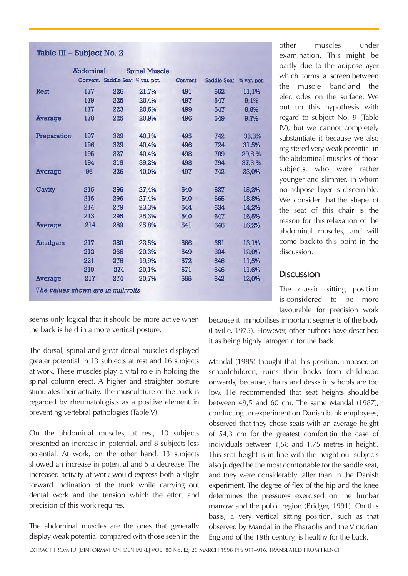### Table III - Subject No. 2

|                                    | Abdominal |                                  | <b>Spinal Muscle</b> |          |                    |             |
|------------------------------------|-----------|----------------------------------|----------------------|----------|--------------------|-------------|
|                                    |           | Convent. Saddle Seat % var. pot. |                      | Convent. | <b>Saddle Seat</b> | % var. pot. |
| <b>Rest</b>                        | 177       | 226                              | 21,7%                | 491      | 552                | 11,1%       |
|                                    | 179       | 225                              | 20,4%                | 497      | 547                | 9,1%        |
|                                    | 177       | 223                              | 20,6%                | 499      | 547                | 8,8%        |
| <b>Average</b>                     | 178       | 225                              | 20,9%                | 496      | 549                | 9.7%        |
| Preparation                        | 197       | 329                              | 40,1%                | 495      | 742                | 33,3%       |
|                                    | 196       | 329                              | 40,4%                | 496      | 724                | 31.5%       |
|                                    | 195       | 327                              | 40,4%                | 498      | 709                | 29,8%       |
|                                    | 194       | 319                              | 39,2%                | 498      | 794                | 37,3 %      |
| <b>Average</b>                     | 96        | 326                              | 40,0%                | 497      | 742                | 33,0%       |
| Cavity                             | 215       | 296                              | 27,4%                | 540      | 637                | 15,2%       |
|                                    | 215       | 296                              | 27.4%                | 540      | 665                | 18.8%       |
|                                    | 214       | 279                              | 23,3%                | 544      | 634                | 14,2%       |
|                                    | 213       | 295                              | 25,3%                | 540      | 647                | 16,5%       |
| <b>Average</b>                     | 214       | 289                              | 25,8%                | 541      | 646                | 16,2%       |
| <b>Amalgam</b>                     | 217       | 280                              | 22,5%                | 566      | 651                | 13,1%       |
|                                    | 212       | 266                              | 20,3%                | 549      | 624                | 12,0%       |
|                                    | 221       | 276                              | 19,9%                | 572      | 646                | 11,5%       |
|                                    | 219       | 274                              | 20,1%                | 571      | 646                | 11.6%       |
| <b>Average</b>                     | 217       | 274                              | 20,7%                | 565      | 642                | 12,0%       |
| The values shown are in millivolts |           |                                  |                      |          |                    |             |

other muscles under examination. This might be partly due to the adipose layer which forms a screen between the muscle band and the electrodes on the surface. We put up this hypothesis with regard to subject No. 9 (Table IV), but we cannot completely substantiate it because we also registered very weak potential in the abdominal muscles of those subjects, who were rather younger and slimmer, in whom no adipose layer is discernible. We consider that the shape of the seat of this chair is the reason for this relaxation of the abdominal muscles, and will come back to this point in the discussion.

## **Discussion**

The classic sitting position is considered to be more favourable for precision work

seems only logical that it should be more active when the back is held in a more vertical posture.

The dorsal, spinal and great dorsal muscles displayed greater potential in 13 subjects at rest and 16 subjects at work. These muscles play a vital role in holding the spinal column erect. A higher and straighter posture stimulates their activity. The musculature of the back is regarded by rheumatologists as a positive element in preventing vertebral pathologies (Table V).

On the abdominal muscles, at rest, 10 subjects presented an increase in potential, and 8 subjects less potential. At work, on the other hand, 13 subjects showed an increase in potential and 5 a decrease. The increased activity at work would express both a slight forward inclination of the trunk while carrying out dental work and the tension which the effort and precision of this work requires.

The abdominal muscles are the ones that generally display weak potential compared with those seen in the because it immobilises important segments of the body (Laville, 1975). However, other authors have described it as being highly iatrogenic for the back.

Mandal (1985) thought that this position, imposed on schoolchildren, ruins their backs from childhood onwards, because, chairs and desks in schools are too low. He recommended that seat heights should be between 49,5 and 60 cm. The same Mandal (1987), conducting an experiment on Danish bank employees, observed that they chose seats with an average height of 54,3 cm for the greatest comfort (in the case of individuals between 1,58 and 1,75 metres in height). This seat height is in line with the height our subjects also judged be the most comfortable for the saddle seat, and they were considerably taller than in the Danish experiment. The degree of flex of the hip and the knee determines the pressures exercised on the lumbar marrow and the pubic region (Bridger, 1991). On this basis, a very vertical sitting position, such as that observed by Mandal in the Pharaohs and the Victorian England of the 19th century, is healthy for the back.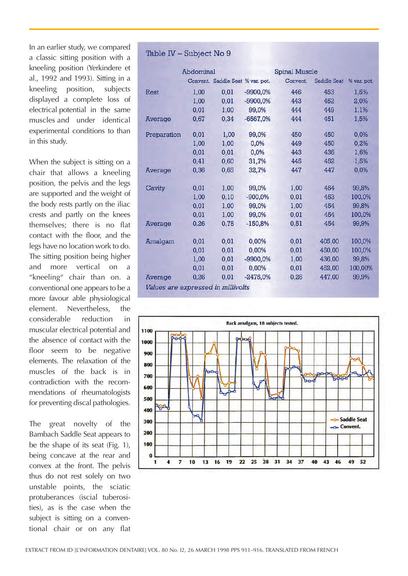In an earlier study, we compared a classic sitting position with a kneeling position (Yerkindere et al., 1992 and 1993). Sitting in a kneeling position, subjects displayed a complete loss of electrical potential in the same muscles and under identical experimental conditions to than in this study.

When the subject is sitting on a chair that allows a kneeling position, the pelvis and the legs are supported and the weight of the body rests partly on the iliac crests and partly on the knees themselves; there is no flat contact with the floor, and the legs have no location work to do. The sitting position being higher and more vertical on a "kneeling" chair than on. a conventional one appears to be a more favour able physiological element. Nevertheless, the considerable reduction in muscular electrical potential and the absence of contact with the floor seem to be negative elements. The relaxation of the muscles of the back is in contradiction with the recommendations of rheumatologists for preventing discal pathologies.

The great novelty of the Bambach Saddle Seat appears to be the shape of its seat (Fig. 1), being concave at the rear and convex at the front. The pelvis thus do not rest solely on two unstable points, the sciatic protuberances (iscial tuberosities), as is the case when the subject is sitting on a conventional chair or on any flat

#### Table IV - Subject No 9

|                                    | <b>Abdominal</b> |                                  |            | <b>Spinal Muscle</b> |                    |             |
|------------------------------------|------------------|----------------------------------|------------|----------------------|--------------------|-------------|
|                                    |                  | Convent. Saddle Seat % var. pot. |            | Convent.             | <b>Saddle Seat</b> | % var. pot. |
| <b>Rest</b>                        | 1,00             | 0,01                             | $-9900,0%$ | 446                  | 453                | 1,5%        |
|                                    | 1,00             | 0,01                             | $-9900,0%$ | 443                  | 452                | 2,0%        |
|                                    | 0,01             | 1,00                             | 99,0%      | 444                  | 449                | 1,1%        |
| <b>Average</b>                     | 0,67             | 0,34                             | $-6567,0%$ | 444                  | 451                | 1,5%        |
| Preparation                        | 0,01             | 1,00                             | 99,0%      | 450                  | 450                | 0,0%        |
|                                    | 1,00             | 1,00                             | 0,0%       | 449                  | 450                | 0,2%        |
|                                    | 0,01             | 0,01                             | 0,0%       | 443                  | 436                | 1,6%        |
|                                    | 0,41             | 0,60                             | 31,7%      | 445                  | 452                | 1,5%        |
| <b>Average</b>                     | 0,36             | 0,65                             | 32,7%      | 447                  | 447                | 0,0%        |
| Cavity                             | 0,01             | 1,00                             | 99,0%      | 1,00                 | 454                | 99,8%       |
|                                    | 1,00             | 0,10                             | $-900,0%$  | 0,01                 | 453                | 100,0%      |
|                                    | 0,01             | 1,00                             | 99,0%      | 1,00                 | 454                | 99,8%       |
|                                    | 0,01             | 1,00                             | 99,0%      | 0,01                 | 454                | 100,0%      |
| <b>Average</b>                     | 0.26             | 0,78                             | $-150,8%$  | 0,51                 | 454                | 99,9%       |
| <b>Amalgam</b>                     | 0,01             | 0,01                             | 0,00%      | 0,01                 | 405,00             | 100,0%      |
|                                    | 0,01             | 0,01                             | 0,00%      | 0,01                 | 450,00             | 100,0%      |
|                                    | 1,00             | 0,01                             | $-9900,0%$ | 1,00                 | 436,00             | 99,8%       |
|                                    | 0,01             | 0,01                             | 0,00%      | 0,01                 | 452,00             | 100,00%     |
| Average                            | 0,26             | 0,01                             | $-2475,0%$ | 0,26                 | 447,00             | 99,9%       |
| Values are expressed in millivolts |                  |                                  |            |                      |                    |             |